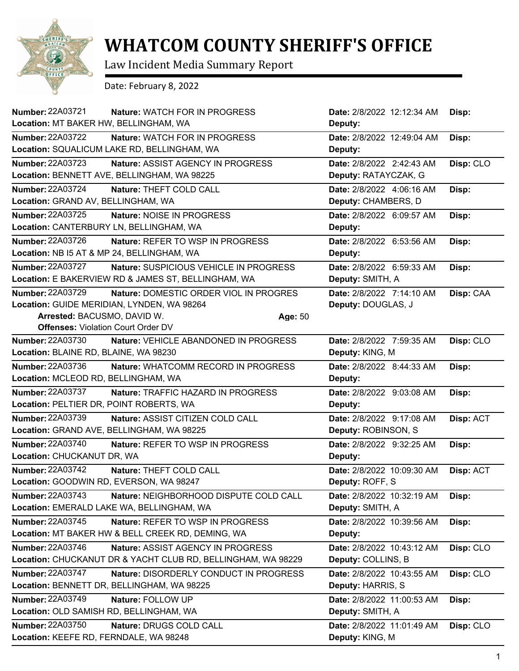

## **WHATCOM COUNTY SHERIFF'S OFFICE**

Law Incident Media Summary Report

Date: February 8, 2022

| Number: 22A03721                           | Nature: WATCH FOR IN PROGRESS                                |         | Date: 2/8/2022 12:12:34 AM | Disp:     |
|--------------------------------------------|--------------------------------------------------------------|---------|----------------------------|-----------|
| Location: MT BAKER HW, BELLINGHAM, WA      |                                                              |         | Deputy:                    |           |
| <b>Number: 22A03722</b>                    | <b>Nature: WATCH FOR IN PROGRESS</b>                         |         | Date: 2/8/2022 12:49:04 AM | Disp:     |
|                                            | Location: SQUALICUM LAKE RD, BELLINGHAM, WA                  |         | Deputy:                    |           |
| Number: 22A03723                           | Nature: ASSIST AGENCY IN PROGRESS                            |         | Date: 2/8/2022 2:42:43 AM  | Disp: CLO |
|                                            | Location: BENNETT AVE, BELLINGHAM, WA 98225                  |         | Deputy: RATAYCZAK, G       |           |
| <b>Number: 22A03724</b>                    | Nature: THEFT COLD CALL                                      |         | Date: 2/8/2022 4:06:16 AM  | Disp:     |
| Location: GRAND AV, BELLINGHAM, WA         |                                                              |         | Deputy: CHAMBERS, D        |           |
| Number: 22A03725                           | Nature: NOISE IN PROGRESS                                    |         | Date: 2/8/2022 6:09:57 AM  | Disp:     |
| Location: CANTERBURY LN, BELLINGHAM, WA    |                                                              |         | Deputy:                    |           |
| Number: 22A03726                           | Nature: REFER TO WSP IN PROGRESS                             |         | Date: 2/8/2022 6:53:56 AM  | Disp:     |
| Location: NB I5 AT & MP 24, BELLINGHAM, WA |                                                              |         | Deputy:                    |           |
| <b>Number: 22A03727</b>                    | Nature: SUSPICIOUS VEHICLE IN PROGRESS                       |         | Date: 2/8/2022 6:59:33 AM  | Disp:     |
|                                            | Location: E BAKERVIEW RD & JAMES ST, BELLINGHAM, WA          |         | Deputy: SMITH, A           |           |
| Number: 22A03729                           | Nature: DOMESTIC ORDER VIOL IN PROGRES                       |         | Date: 2/8/2022 7:14:10 AM  | Disp: CAA |
| Location: GUIDE MERIDIAN, LYNDEN, WA 98264 |                                                              |         | Deputy: DOUGLAS, J         |           |
| Arrested: BACUSMO, DAVID W.                |                                                              | Age: 50 |                            |           |
| <b>Offenses: Violation Court Order DV</b>  |                                                              |         |                            |           |
| <b>Number: 22A03730</b>                    | Nature: VEHICLE ABANDONED IN PROGRESS                        |         | Date: 2/8/2022 7:59:35 AM  | Disp: CLO |
| Location: BLAINE RD, BLAINE, WA 98230      |                                                              |         | Deputy: KING, M            |           |
| Number: 22A03736                           | Nature: WHATCOMM RECORD IN PROGRESS                          |         | Date: 2/8/2022 8:44:33 AM  | Disp:     |
| Location: MCLEOD RD, BELLINGHAM, WA        |                                                              |         | Deputy:                    |           |
| Number: 22A03737                           | Nature: TRAFFIC HAZARD IN PROGRESS                           |         | Date: 2/8/2022 9:03:08 AM  | Disp:     |
| Location: PELTIER DR, POINT ROBERTS, WA    |                                                              |         | Deputy:                    |           |
| Number: 22A03739                           | Nature: ASSIST CITIZEN COLD CALL                             |         | Date: 2/8/2022 9:17:08 AM  | Disp: ACT |
| Location: GRAND AVE, BELLINGHAM, WA 98225  |                                                              |         | Deputy: ROBINSON, S        |           |
| Number: 22A03740                           | Nature: REFER TO WSP IN PROGRESS                             |         | Date: 2/8/2022 9:32:25 AM  | Disp:     |
| Location: CHUCKANUT DR, WA                 |                                                              |         | Deputy:                    |           |
| Number: 22A03742                           | Nature: THEFT COLD CALL                                      |         | Date: 2/8/2022 10:09:30 AM | Disp: ACT |
| Location: GOODWIN RD, EVERSON, WA 98247    |                                                              |         | Deputy: ROFF, S            |           |
| Number: 22A03743                           | Nature: NEIGHBORHOOD DISPUTE COLD CALL                       |         | Date: 2/8/2022 10:32:19 AM | Disp:     |
|                                            | Location: EMERALD LAKE WA, BELLINGHAM, WA                    |         | Deputy: SMITH, A           |           |
| Number: 22A03745                           | Nature: REFER TO WSP IN PROGRESS                             |         | Date: 2/8/2022 10:39:56 AM | Disp:     |
|                                            | Location: MT BAKER HW & BELL CREEK RD, DEMING, WA            |         | Deputy:                    |           |
| <b>Number: 22A03746</b>                    | Nature: ASSIST AGENCY IN PROGRESS                            |         | Date: 2/8/2022 10:43:12 AM | Disp: CLO |
|                                            | Location: CHUCKANUT DR & YACHT CLUB RD, BELLINGHAM, WA 98229 |         | Deputy: COLLINS, B         |           |
| Number: 22A03747                           | Nature: DISORDERLY CONDUCT IN PROGRESS                       |         | Date: 2/8/2022 10:43:55 AM | Disp: CLO |
|                                            | Location: BENNETT DR, BELLINGHAM, WA 98225                   |         | Deputy: HARRIS, S          |           |
| <b>Number: 22A03749</b>                    | Nature: FOLLOW UP                                            |         | Date: 2/8/2022 11:00:53 AM | Disp:     |
| Location: OLD SAMISH RD, BELLINGHAM, WA    |                                                              |         | Deputy: SMITH, A           |           |
| Number: 22A03750                           | Nature: DRUGS COLD CALL                                      |         | Date: 2/8/2022 11:01:49 AM | Disp: CLO |
| Location: KEEFE RD, FERNDALE, WA 98248     |                                                              |         | Deputy: KING, M            |           |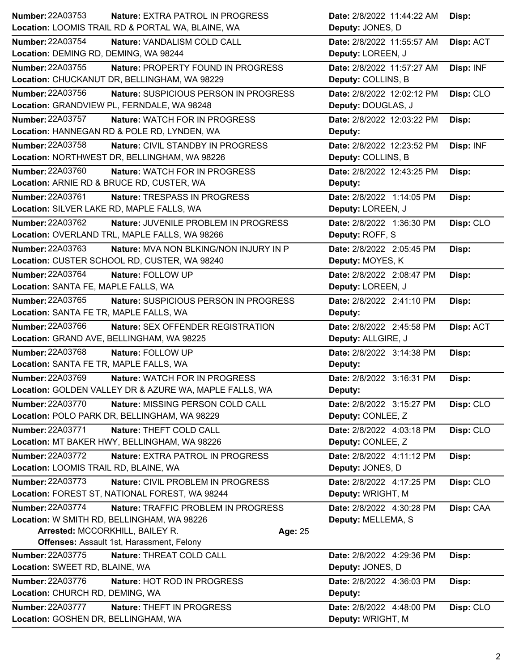| <b>Number: 22A03753</b><br>Nature: EXTRA PATROL IN PROGRESS                                 | Date: 2/8/2022 11:44:22 AM                     | Disp:     |
|---------------------------------------------------------------------------------------------|------------------------------------------------|-----------|
| Location: LOOMIS TRAIL RD & PORTAL WA, BLAINE, WA                                           | Deputy: JONES, D                               |           |
| <b>Number: 22A03754</b><br>Nature: VANDALISM COLD CALL                                      | Date: 2/8/2022 11:55:57 AM                     | Disp: ACT |
| Location: DEMING RD, DEMING, WA 98244                                                       | Deputy: LOREEN, J                              |           |
| Number: 22A03755<br>Nature: PROPERTY FOUND IN PROGRESS                                      | Date: 2/8/2022 11:57:27 AM                     | Disp: INF |
| Location: CHUCKANUT DR, BELLINGHAM, WA 98229                                                | Deputy: COLLINS, B                             |           |
| <b>Number: 22A03756</b><br>Nature: SUSPICIOUS PERSON IN PROGRESS                            | Date: 2/8/2022 12:02:12 PM                     | Disp: CLO |
| Location: GRANDVIEW PL, FERNDALE, WA 98248                                                  | Deputy: DOUGLAS, J                             |           |
| <b>Number: 22A03757</b><br>Nature: WATCH FOR IN PROGRESS                                    | Date: 2/8/2022 12:03:22 PM                     | Disp:     |
| Location: HANNEGAN RD & POLE RD, LYNDEN, WA                                                 | Deputy:                                        |           |
| Number: 22A03758<br>Nature: CIVIL STANDBY IN PROGRESS                                       | Date: 2/8/2022 12:23:52 PM                     | Disp: INF |
| Location: NORTHWEST DR, BELLINGHAM, WA 98226                                                | Deputy: COLLINS, B                             |           |
| Number: 22A03760<br>Nature: WATCH FOR IN PROGRESS                                           | Date: 2/8/2022 12:43:25 PM                     | Disp:     |
| Location: ARNIE RD & BRUCE RD, CUSTER, WA                                                   | Deputy:                                        |           |
| Number: 22A03761<br>Nature: TRESPASS IN PROGRESS                                            | Date: 2/8/2022 1:14:05 PM                      | Disp:     |
| Location: SILVER LAKE RD, MAPLE FALLS, WA                                                   | Deputy: LOREEN, J                              |           |
| Number: 22A03762<br>Nature: JUVENILE PROBLEM IN PROGRESS                                    | Date: 2/8/2022 1:36:30 PM                      | Disp: CLO |
| Location: OVERLAND TRL, MAPLE FALLS, WA 98266                                               | Deputy: ROFF, S                                |           |
| Number: 22A03763<br>Nature: MVA NON BLKING/NON INJURY IN P                                  | Date: 2/8/2022 2:05:45 PM                      | Disp:     |
| Location: CUSTER SCHOOL RD, CUSTER, WA 98240                                                | Deputy: MOYES, K                               |           |
| <b>Number: 22A03764</b><br>Nature: FOLLOW UP                                                | Date: 2/8/2022 2:08:47 PM                      | Disp:     |
| Location: SANTA FE, MAPLE FALLS, WA                                                         | Deputy: LOREEN, J                              |           |
| Number: 22A03765<br>Nature: SUSPICIOUS PERSON IN PROGRESS                                   | Date: 2/8/2022 2:41:10 PM                      | Disp:     |
| Location: SANTA FE TR, MAPLE FALLS, WA                                                      | Deputy:                                        |           |
| <b>Number: 22A03766</b><br>Nature: SEX OFFENDER REGISTRATION                                | Date: 2/8/2022 2:45:58 PM                      | Disp: ACT |
| Location: GRAND AVE, BELLINGHAM, WA 98225                                                   | Deputy: ALLGIRE, J                             |           |
| <b>Number: 22A03768</b><br>Nature: FOLLOW UP                                                | Date: 2/8/2022 3:14:38 PM                      | Disp:     |
| Location: SANTA FE TR, MAPLE FALLS, WA                                                      | Deputy:                                        |           |
| <b>Number: 22A03769</b><br>Nature: WATCH FOR IN PROGRESS                                    | Date: 2/8/2022 3:16:31 PM                      | Disp:     |
| Location: GOLDEN VALLEY DR & AZURE WA, MAPLE FALLS, WA                                      | Deputy:                                        |           |
| Number: 22A03770<br>Nature: MISSING PERSON COLD CALL                                        | Date: 2/8/2022 3:15:27 PM                      | Disp: CLO |
| Location: POLO PARK DR, BELLINGHAM, WA 98229                                                | Deputy: CONLEE, Z                              |           |
| <b>Number: 22A03771</b><br>Nature: THEFT COLD CALL                                          | Date: 2/8/2022 4:03:18 PM                      | Disp: CLO |
| Location: MT BAKER HWY, BELLINGHAM, WA 98226                                                | Deputy: CONLEE, Z                              |           |
| <b>Number: 22A03772</b><br>Nature: EXTRA PATROL IN PROGRESS                                 | Date: 2/8/2022 4:11:12 PM                      | Disp:     |
| Location: LOOMIS TRAIL RD, BLAINE, WA                                                       | Deputy: JONES, D                               |           |
| Number: 22A03773<br>Nature: CIVIL PROBLEM IN PROGRESS                                       | Date: 2/8/2022 4:17:25 PM                      | Disp: CLO |
| Location: FOREST ST, NATIONAL FOREST, WA 98244                                              | Deputy: WRIGHT, M                              |           |
| <b>Number: 22A03774</b><br>Nature: TRAFFIC PROBLEM IN PROGRESS                              | Date: 2/8/2022 4:30:28 PM                      | Disp: CAA |
| Location: W SMITH RD, BELLINGHAM, WA 98226                                                  | Deputy: MELLEMA, S                             |           |
| Arrested: MCCORKHILL, BAILEY R.<br>Age: 25                                                  |                                                |           |
| <b>Offenses: Assault 1st, Harassment, Felony</b>                                            |                                                |           |
| <b>Number: 22A03775</b><br>Nature: THREAT COLD CALL                                         | Date: 2/8/2022 4:29:36 PM                      | Disp:     |
| Location: SWEET RD, BLAINE, WA                                                              | Deputy: JONES, D                               |           |
| Number: 22A03776<br>Nature: HOT ROD IN PROGRESS                                             | Date: 2/8/2022 4:36:03 PM                      | Disp:     |
| Location: CHURCH RD, DEMING, WA                                                             |                                                |           |
|                                                                                             | Deputy:                                        |           |
| <b>Number: 22A03777</b><br>Nature: THEFT IN PROGRESS<br>Location: GOSHEN DR, BELLINGHAM, WA | Date: 2/8/2022 4:48:00 PM<br>Deputy: WRIGHT, M | Disp: CLO |